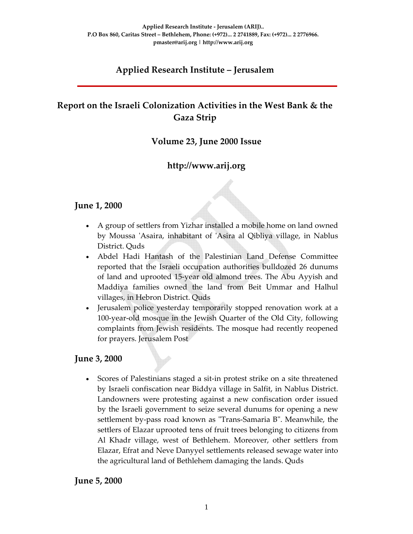# **Applied Research Institute – Jerusalem**

# **Report on the Israeli Colonization Activities in the West Bank & the Gaza Strip**

## **Volume 23, June 2000 Issue**

# **http://www.arij.org**

#### **June 1, 2000**

- A group of settlers from Yizhar installed a mobile home on land owned by Moussa ʹAsaira, inhabitant of ʹAsira al Qibliya village, in Nablus District. Quds
- Abdel Hadi Hantash of the Palestinian Land Defense Committee reported that the Israeli occupation authorities bulldozed 26 dunums of land and uprooted 15‐year old almond trees. The Abu Ayyish and Maddiya families owned the land from Beit Ummar and Halhul villages, in Hebron District. Quds
- Jerusalem police yesterday temporarily stopped renovation work at a 100‐year‐old mosque in the Jewish Quarter of the Old City, following complaints from Jewish residents. The mosque had recently reopened for prayers. Jerusalem Post

#### **June 3, 2000**

• Scores of Palestinians staged a sit‐in protest strike on a site threatened by Israeli confiscation near Biddya village in Salfit, in Nablus District. Landowners were protesting against a new confiscation order issued by the Israeli government to seize several dunums for opening a new settlement by-pass road known as "Trans-Samaria B". Meanwhile, the settlers of Elazar uprooted tens of fruit trees belonging to citizens from Al Khadr village, west of Bethlehem. Moreover, other settlers from Elazar, Efrat and Neve Danyyel settlements released sewage water into the agricultural land of Bethlehem damaging the lands. Quds

#### **June 5, 2000**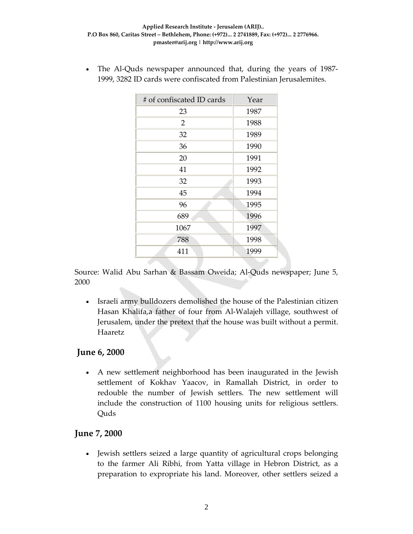The Al-Quds newspaper announced that, during the years of 1987– 1999, 3282 ID cards were confiscated from Palestinian Jerusalemites.

| # of confiscated ID cards | Year |
|---------------------------|------|
| 23                        | 1987 |
| 2                         | 1988 |
| 32                        | 1989 |
| 36                        | 1990 |
| 20                        | 1991 |
| 41                        | 1992 |
| 32                        | 1993 |
| 45                        | 1994 |
| 96                        | 1995 |
| 689                       | 1996 |
| 1067                      | 1997 |
| 788                       | 1998 |
| 411                       | 1999 |

Source: Walid Abu Sarhan & Bassam Oweida; Al‐Quds newspaper; June 5, 2000

• Israeli army bulldozers demolished the house of the Palestinian citizen Hasan Khalifa,a father of four from Al‐Walajeh village, southwest of Jerusalem, under the pretext that the house was built without a permit. Haaretz

## **June 6, 2000**

• A new settlement neighborhood has been inaugurated in the Jewish settlement of Kokhav Yaacov, in Ramallah District, in order to redouble the number of Jewish settlers. The new settlement will include the construction of 1100 housing units for religious settlers. Quds

## **June 7, 2000**

• Jewish settlers seized a large quantity of agricultural crops belonging to the farmer Ali Ribhi, from Yatta village in Hebron District, as a preparation to expropriate his land. Moreover, other settlers seized a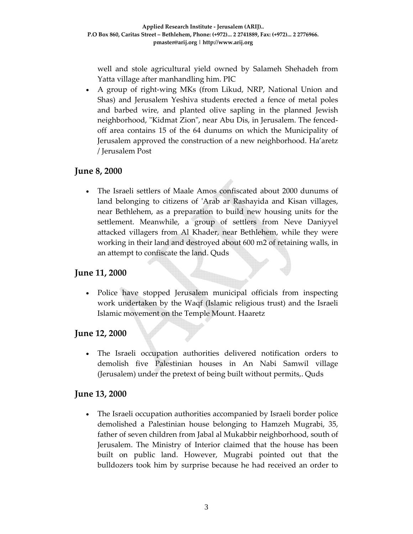well and stole agricultural yield owned by Salameh Shehadeh from Yatta village after manhandling him. PIC

• A group of right-wing MKs (from Likud, NRP, National Union and Shas) and Jerusalem Yeshiva students erected a fence of metal poles and barbed wire, and planted olive sapling in the planned Jewish neighborhood, "Kidmat Zion", near Abu Dis, in Jerusalem. The fencedoff area contains 15 of the 64 dunums on which the Municipality of Jerusalem approved the construction of a new neighborhood. Ha'aretz / Jerusalem Post

## **June 8, 2000**

• The Israeli settlers of Maale Amos confiscated about 2000 dunums of land belonging to citizens of 'Arab ar Rashayida and Kisan villages, near Bethlehem, as a preparation to build new housing units for the settlement. Meanwhile, a group of settlers from Neve Daniyyel attacked villagers from Al Khader, near Bethlehem, while they were working in their land and destroyed about 600 m2 of retaining walls, in an attempt to confiscate the land. Quds

# **June 11, 2000**

• Police have stopped Jerusalem municipal officials from inspecting work undertaken by the Waqf (Islamic religious trust) and the Israeli Islamic movement on the Temple Mount. Haaretz

## **June 12, 2000**

The Israeli occupation authorities delivered notification orders to demolish five Palestinian houses in An Nabi Samwil village (Jerusalem) under the pretext of being built without permits,. Quds

## **June 13, 2000**

• The Israeli occupation authorities accompanied by Israeli border police demolished a Palestinian house belonging to Hamzeh Mugrabi, 35, father of seven children from Jabal al Mukabbir neighborhood, south of Jerusalem. The Ministry of Interior claimed that the house has been built on public land. However, Mugrabi pointed out that the bulldozers took him by surprise because he had received an order to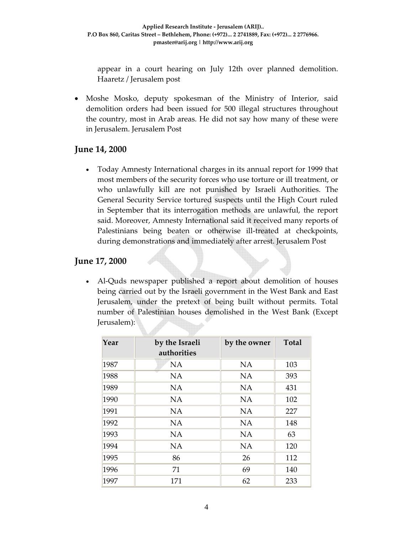appear in a court hearing on July 12th over planned demolition. Haaretz / Jerusalem post

• Moshe Mosko, deputy spokesman of the Ministry of Interior, said demolition orders had been issued for 500 illegal structures throughout the country, most in Arab areas. He did not say how many of these were in Jerusalem. Jerusalem Post

#### **June 14, 2000**

• Today Amnesty International charges in its annual report for 1999 that most members of the security forces who use torture or ill treatment, or who unlawfully kill are not punished by Israeli Authorities. The General Security Service tortured suspects until the High Court ruled in September that its interrogation methods are unlawful, the report said. Moreover, Amnesty International said it received many reports of Palestinians being beaten or otherwise ill-treated at checkpoints, during demonstrations and immediately after arrest. Jerusalem Post

#### **June 17, 2000**

• Al-Quds newspaper published a report about demolition of houses being carried out by the Israeli government in the West Bank and East Jerusalem, under the pretext of being built without permits. Total number of Palestinian houses demolished in the West Bank (Except Jerusalem):

| Year | by the Israeli<br>authorities | by the owner | <b>Total</b> |  |
|------|-------------------------------|--------------|--------------|--|
| 1987 | <b>NA</b>                     | <b>NA</b>    | 103          |  |
| 1988 | <b>NA</b>                     | <b>NA</b>    | 393          |  |
| 1989 | <b>NA</b>                     | <b>NA</b>    | 431          |  |
| 1990 | <b>NA</b>                     | <b>NA</b>    | 102          |  |
| 1991 | <b>NA</b>                     | <b>NA</b>    | 227          |  |
| 1992 | <b>NA</b>                     | <b>NA</b>    | 148          |  |
| 1993 | <b>NA</b>                     | <b>NA</b>    | 63           |  |
| 1994 | <b>NA</b>                     | <b>NA</b>    | 120          |  |
| 1995 | 86                            | 26           | 112          |  |
| 1996 | 71                            | 69           | 140          |  |
| 1997 | 171                           | 62           | 233          |  |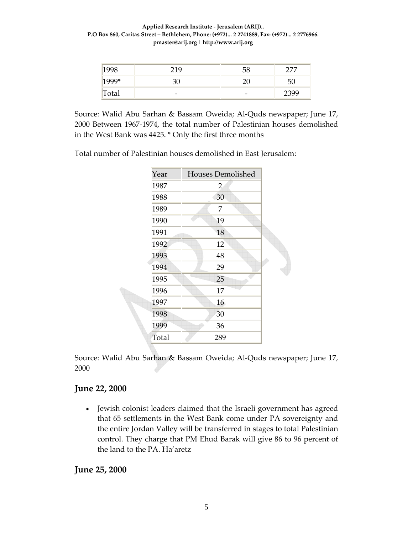#### **Applied Research Institute ‐ Jerusalem (ARIJ).. P.O Box 860, Caritas Street – Bethlehem, Phone: (+972)... 2 2741889, Fax: (+972)... 2 2776966. pmaster@arij.org | http://www.arij.org**

| 1998    | 219                      | 58                       | חחר  |
|---------|--------------------------|--------------------------|------|
| $1999*$ |                          | ∩∩                       | 50   |
| Total   | $\overline{\phantom{0}}$ | $\overline{\phantom{a}}$ | 2399 |

Source: Walid Abu Sarhan & Bassam Oweida; Al‐Quds newspaper; June 17, 2000 Between 1967‐1974, the total number of Palestinian houses demolished in the West Bank was 4425. \* Only the first three months

Total number of Palestinian houses demolished in East Jerusalem:

| Year  | <b>Houses Demolished</b> |  |  |
|-------|--------------------------|--|--|
| 1987  | $\overline{2}$           |  |  |
| 1988  | 30                       |  |  |
| 1989  | 7                        |  |  |
| 1990  | 19                       |  |  |
| 1991  | 18                       |  |  |
| 1992  | 12                       |  |  |
| 1993  | 48                       |  |  |
| 1994  | 29                       |  |  |
| 1995  | 25                       |  |  |
| 1996  | 17                       |  |  |
| 1997  | 16                       |  |  |
| 1998  | 30                       |  |  |
| 1999  | 36                       |  |  |
| Total | 289                      |  |  |

Source: Walid Abu Sarhan & Bassam Oweida; Al‐Quds newspaper; June 17, 2000

## **June 22, 2000**

• Jewish colonist leaders claimed that the Israeli government has agreed that 65 settlements in the West Bank come under PA sovereignty and the entire Jordan Valley will be transferred in stages to total Palestinian control. They charge that PM Ehud Barak will give 86 to 96 percent of the land to the PA. Ha'aretz

**June 25, 2000**